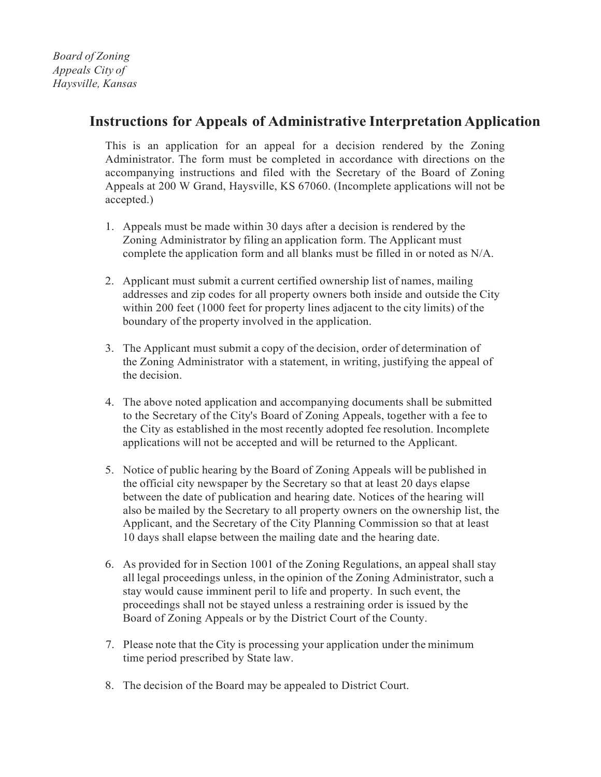## **Instructions** for Appeals of Administrative Interpretation Application

This is an application for an appeal for a decision rendered by the Zoning Administrator. The form must be completed in accordance with directions on the accompanying instructions and filed with the Secretary of the Board of Zoning Appeals at 200 W Grand, Haysville, KS 67060. (Incomplete applications will not be accepted.)

- 1. Appeals must be made within 30 days after a decision is rendered by the Zoning Administrator by filing an application form. The Applicant must complete the application form and all blanks must be filled in or noted as N/A.
- 2. Applicant must submit a current certified ownership list of names, mailing addresses and zip codes for all property owners both inside and outside the City within 200 feet (1000 feet for property lines adjacent to the city limits) of the boundary of the property involved in the application.
- 3. The Applicant must submit a copy of the decision, order of determination of the Zoning Administrator with a statement, in writing, justifying the appeal of the decision.
- 4. The above noted application and accompanying documents shall be submitted to the Secretary of the City's Board of Zoning Appeals, together with a fee to the City as established in the most recently adopted fee resolution. Incomplete applications will not be accepted and will be returned to the Applicant.
- 5. Notice of public hearing by the Board of Zoning Appeals will be published in the official city newspaper by the Secretary so that at least 20 days elapse between the date of publication and hearing date. Notices of the hearing will also be mailed by the Secretary to all property owners on the ownership list, the Applicant, and the Secretary of the City Planning Commission so that at least 10 days shall elapse between the mailing date and the hearing date.
- 6. As provided for in Section 1001 of the Zoning Regulations, an appeal shall stay all legal proceedings unless, in the opinion of the Zoning Administrator, such a stay would cause imminent peril to life and property. In such event, the proceedings shall not be stayed unless a restraining order is issued by the Board of Zoning Appeals or by the District Court of the County.
- 7. Please note that the City is processing your application under the minimum time period prescribed by State law.
- 8. The decision of the Board may be appealed to District Court.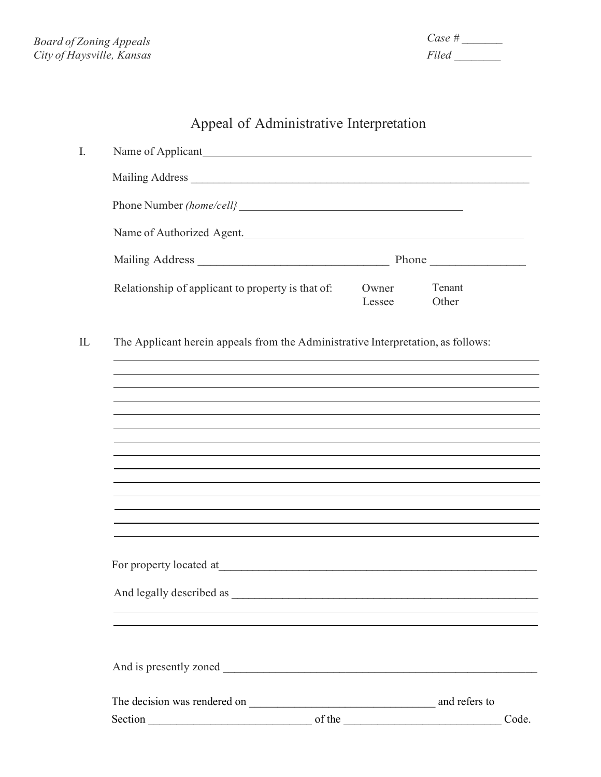*Case # \_\_\_\_\_\_\_ Filed \_\_\_\_\_\_\_\_*

## Appeal of Administrative Interpretation

| Mailing Address                                                                   |                 |                 |       |
|-----------------------------------------------------------------------------------|-----------------|-----------------|-------|
|                                                                                   |                 |                 |       |
| Name of Authorized Agent.                                                         |                 |                 |       |
|                                                                                   |                 |                 |       |
| Relationship of applicant to property is that of:                                 | Owner<br>Lessee | Tenant<br>Other |       |
| The Applicant herein appeals from the Administrative Interpretation, as follows:  |                 |                 |       |
|                                                                                   |                 |                 |       |
|                                                                                   |                 |                 |       |
|                                                                                   |                 |                 |       |
|                                                                                   |                 |                 |       |
| ,我们也不会有什么。""我们的人,我们也不会有什么?""我们的人,我们也不会有什么?""我们的人,我们也不会有什么?""我们的人,我们也不会有什么?""我们的人  |                 |                 |       |
| ,我们也不能在这里的时候,我们也不能在这里的时候,我们也不能会在这里的时候,我们也不能会在这里的时候,我们也不能会在这里的时候,我们也不能会在这里的时候,我们也不 |                 |                 |       |
|                                                                                   |                 |                 |       |
|                                                                                   |                 |                 |       |
|                                                                                   |                 |                 |       |
|                                                                                   |                 |                 |       |
|                                                                                   |                 |                 |       |
|                                                                                   |                 |                 |       |
|                                                                                   |                 |                 | Code. |